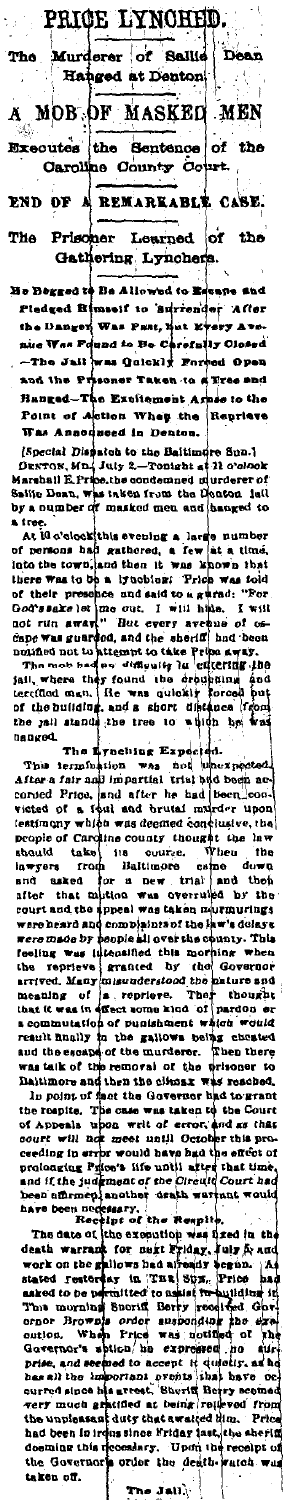PRICE LYNOHED. **De** Murderer of Se أمسا rho j a. Hanged at Denton A MOB OF MASKED MEN Executes the Sentence of the end of a REMARKABLE CASE. The Prisoner Learned of the

Gathering Lyncher

He Degged to Be Allowed to Beane and<br>Pledged Bimself to Burrender After<br>the Danger Was Past, his Keery Avethe Dang-<br>nice Was Felixed to Be Chrom-<br>n-The Juli was Quickly Enr<br>and the Prisoner Taken to a<br>Hanged-The Expirament Ar<br>Tan Annoqueed in Deaton.<br>Was Annoqueed in Deaton. und to Be Carefully Oli<br>was Quickly Forced O s to the Reprieve

Was Announced in Denton.<br>[Special Dispates to the Baitimore Sun.]<br>DENTON, MD.] July 2.-Tonight at 11 o'clook<br>Marshall EProbe, the condensed in Unders of the<br>Saily Dean, was inken from the flootes. Salife Dean, was taken from the Denton i in a<br>A Ire

or a numer of manusculate and hanges to the action of matter and the set of the set of person and state of order and to be a set of the set of the set of the set of the set of the set of the set of the set of the set of t

the jail senses were the Expected.<br>The Eynething Expected.<br>The Eynething was not unexpected.<br>After a fair and imperiture trivial state contains and there is a fixed been loom. The Lynching Expected.<br>The Lynching Expected.<br>The irred first and inverted at the and inverted and there is not uncertainty when a<br>correct First and the translation with the basebora concernent of a field and bruid transl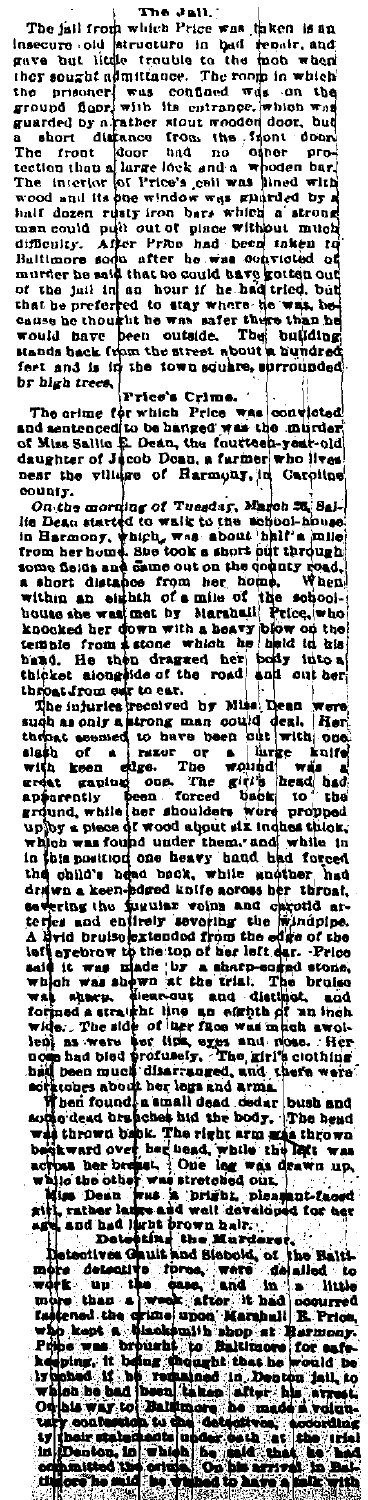The Jall. The Jall. The Jall. The Hill of the mas them is an intensity of the state in the state of the state of the state of the proof. and gave but little trouble to the mob which the form in which gives but little tracted to the most way to the most weak that the present of the prior and the ground fluor and the ground fluor product of the control and ground fluor and ground and the ground of the control of the most br bigh trees,

br high trees, Tries's Crime.<br>The erime of which Price was convicted<br>and sentenced to be hanged was the murder<br>of Mus Salite & Dean, the fourteen-year-old<br>daughter of Moob Dean, a farmer who lives<br>near the village of Rarmo

and the state of the function function in the state of the state of the state of the state of the state of the state of the state of the state of the state of the state of the state of the state of the state of the state o